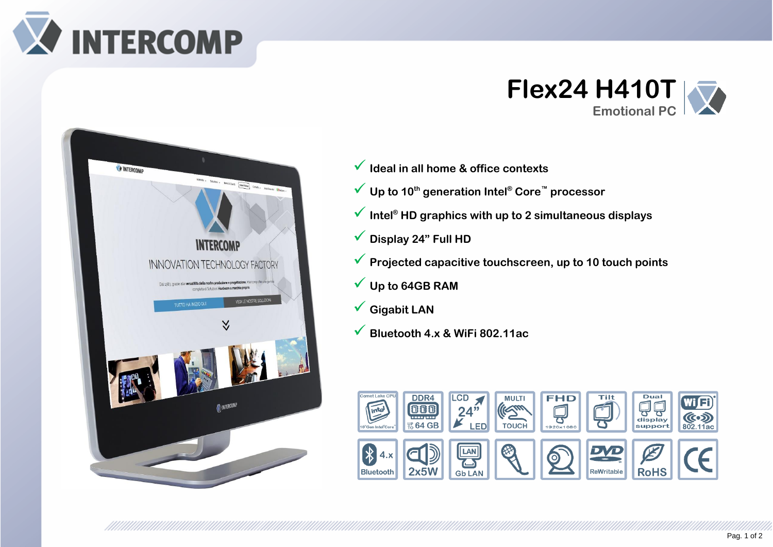





- ✓ **Ideal in all home & office contexts**
- ✓ **Up to 10th generation Intel® Core™ processor**
- ✓ **Intel® HD graphics with up to 2 simultaneous displays**
- ✓ **Display 24" Full HD**
- ✓ **Projected capacitive touchscreen, up to 10 touch points**
- ✓ **Up to 64GB RAM**
- ✓ **Gigabit LAN**
- ✓ **Bluetooth 4.x & WiFi 802.11ac**